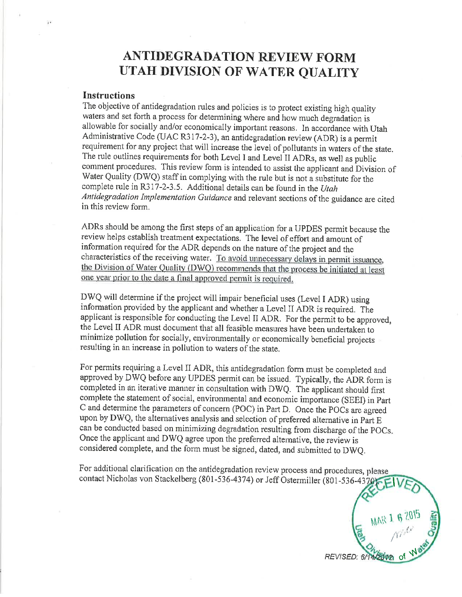# **ANTIDEGRADATION REVIEW FORM** UTAH DIVISION OF WATER QUALITY

### **Instructions**

The objective of antidegradation rules and policies is to protect existing high quality waters and set forth a process for determining where and how much degradation is allowable for socially and/or economically important reasons. In accordance with Utah Administrative Code (UAC R317-2-3), an antidegradation review (ADR) is a permit requirement for any project that will increase the level of pollutants in waters of the state. The rule outlines requirements for both Level I and Level II ADRs, as well as public comment procedures. This review form is intended to assist the applicant and Division of Water Quality (DWQ) staff in complying with the rule but is not a substitute for the complete rule in R317-2-3.5. Additional details can be found in the Utah Antidegradation Implementation Guidance and relevant sections of the guidance are cited in this review form.

ADRs should be among the first steps of an application for a UPDES permit because the review helps establish treatment expectations. The level of effort and amount of information required for the ADR depends on the nature of the project and the characteristics of the receiving water. To avoid unnecessary delays in permit issuance, the Division of Water Quality (DWQ) recommends that the process be initiated at least one year prior to the date a final approved permit is required.

DWQ will determine if the project will impair beneficial uses (Level I ADR) using information provided by the applicant and whether a Level II ADR is required. The applicant is responsible for conducting the Level II ADR. For the permit to be approved, the Level II ADR must document that all feasible measures have been undertaken to minimize pollution for socially, environmentally or economically beneficial projects resulting in an increase in pollution to waters of the state.

For permits requiring a Level II ADR, this antidegradation form must be completed and approved by DWQ before any UPDES permit can be issued. Typically, the ADR form is completed in an iterative manner in consultation with DWQ. The applicant should first complete the statement of social, environmental and economic importance (SEEI) in Part C and determine the parameters of concern (POC) in Part D. Once the POCs are agreed upon by DWQ, the alternatives analysis and selection of preferred alternative in Part E can be conducted based on minimizing degradation resulting from discharge of the POCs. Once the applicant and DWQ agree upon the preferred alternative, the review is considered complete, and the form must be signed, dated, and submitted to DWQ.

For additional clarification on the antidegradation review process and procedures, please contact Nicholas von Stackelberg (801-536-4374) or Jeff Ostermiller (801-536-4370

MAR 1 6 2015 REVISED: 6/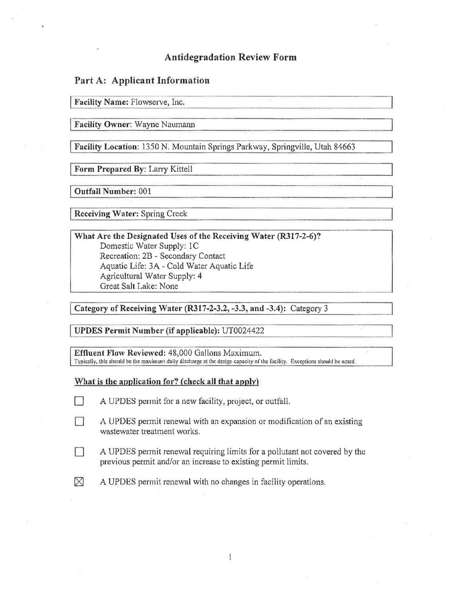# **Antidegradation Review Form**

# Part A: Applicant Information

Facility Name: Flowserve, Inc.

Facility Owner: Wayne Naumann

Facility Location: 1350 N. Mountain Springs Parkway, Springville, Utah 84663

Form Prepared By: Larry Kittell

**Outfall Number: 001** 

**Receiving Water: Spring Creek** 

What Are the Designated Uses of the Receiving Water (R317-2-6)? Domestic Water Supply: 1C Recreation: 2B - Secondary Contact Aquatic Life: 3A - Cold Water Aquatic Life Agricultural Water Supply: 4 Great Salt Lake: None

Category of Receiving Water (R317-2-3.2, -3.3, and -3.4): Category 3

**UPDES Permit Number (if applicable): UT0024422** 

Effluent Flow Reviewed: 48,000 Gallons Maximum. Typically, this should be the maximum daily discharge at the design capacity of the facility. Exceptions should be noted.

#### What is the application for? (check all that apply)

- $\Box$ A UPDES permit for a new facility, project, or outfall.
- Ħ A UPDES permit renewal with an expansion or modification of an existing wastewater treatment works.
- П A UPDES permit renewal requiring limits for a pollutant not covered by the previous permit and/or an increase to existing permit limits.
- $\boxtimes$ A UPDES permit renewal with no changes in facility operations.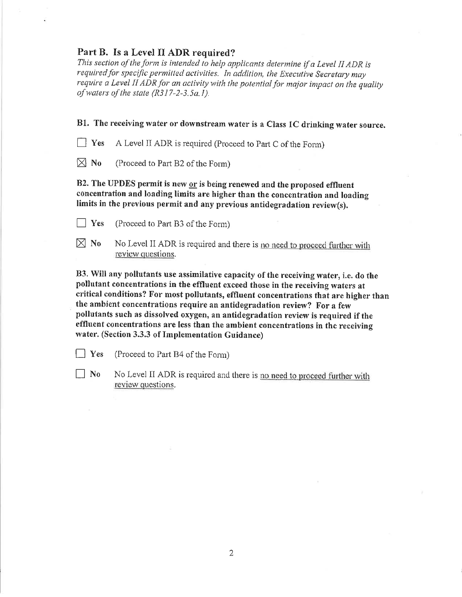# Part B. Is a Level II ADR required?

This section of the form is intended to help applicants determine if a Level II ADR is required for specific permitted activities. In addition, the Executive Secretary may require a Level II ADR for an activity with the potential for major impact on the quality of waters of the state  $(R317-2-3.5a.1)$ .

B1. The receiving water or downstream water is a Class 1C drinking water source.

A Level II ADR is required (Proceed to Part C of the Form)  $|$  Yes

 $\boxtimes$  No (Proceed to Part B2 of the Form)

B2. The UPDES permit is new or is being renewed and the proposed effluent concentration and loading limits are higher than the concentration and loading limits in the previous permit and any previous antidegradation review(s).

- $\vert$  Yes (Proceed to Part B3 of the Form)
- $\boxtimes$  No No Level II ADR is required and there is no need to proceed further with review questions.

B3. Will any pollutants use assimilative capacity of the receiving water, i.e. do the pollutant concentrations in the effluent exceed those in the receiving waters at critical conditions? For most pollutants, effluent concentrations that are higher than the ambient concentrations require an antidegradation review? For a few pollutants such as dissolved oxygen, an antidegradation review is required if the effluent concentrations are less than the ambient concentrations in the receiving water. (Section 3.3.3 of Implementation Guidance)

 $|$  Yes (Proceed to Part B4 of the Form)

 $\vert$  No No Level II ADR is required and there is no need to proceed further with review questions.

 $\overline{2}$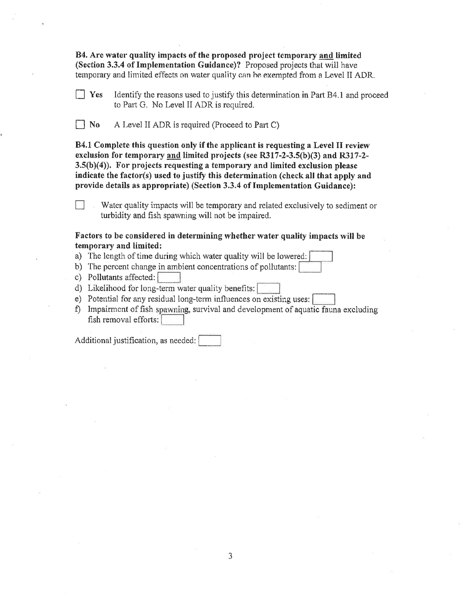B4. Are water quality impacts of the proposed project temporary and limited (Section 3.3.4 of Implementation Guidance)? Proposed projects that will have temporary and limited effects on water quality can be exempted from a Level II ADR.

- Identify the reasons used to justify this determination in Part B4.1 and proceed  $|$  Yes to Part G. No Level II ADR is required.
- $\Box$  No A Level II ADR is required (Proceed to Part C)

B4.1 Complete this question only if the applicant is requesting a Level II review exclusion for temporary and limited projects (see R317-2-3.5(b)(3) and R317-2- $3.5(b)(4)$ . For projects requesting a temporary and limited exclusion please indicate the factor(s) used to justify this determination (check all that apply and provide details as appropriate) (Section 3.3.4 of Implementation Guidance):

Water quality impacts will be temporary and related exclusively to sediment or turbidity and fish spawning will not be impaired.

#### Factors to be considered in determining whether water quality impacts will be temporary and limited:

- a) The length of time during which water quality will be lowered:
- b) The percent change in ambient concentrations of pollutants:
- c) Pollutants affected:
- d) Likelihood for long-term water quality benefits:
- e) Potential for any residual long-term influences on existing uses:
- f) Impairment of fish spawning, survival and development of aquatic fauna excluding fish removal efforts:

Additional justification, as needed: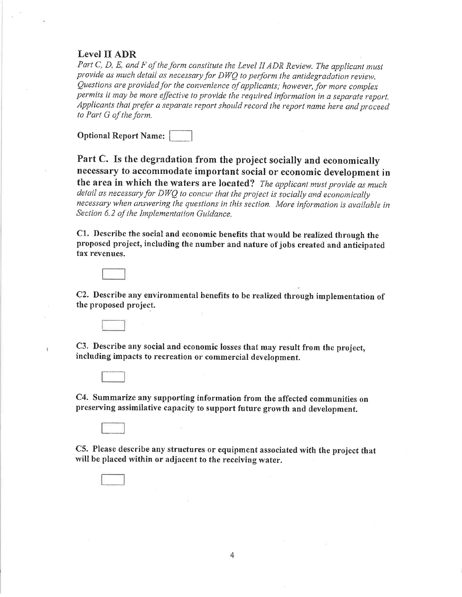### Level II ADR

Part C, D, E, and F of the form constitute the Level II ADR Review. The applicant must provide as much detail as necessary for DWO to perform the antidegradation review. Ouestions are provided for the convenience of applicants; however, for more complex permits it may be more effective to provide the required information in a separate report. Applicants that prefer a separate report should record the report name here and proceed to Part G of the form.

**Optional Report Name:** 

Part C. Is the degradation from the project socially and economically necessary to accommodate important social or economic development in the area in which the waters are located? The applicant must provide as much detail as necessary for DWQ to concur that the project is socially and economically necessary when answering the questions in this section. More information is available in Section 6.2 of the Implementation Guidance.

C1. Describe the social and economic benefits that would be realized through the proposed project, including the number and nature of jobs created and anticipated tax revenues.

C2. Describe any environmental benefits to be realized through implementation of the proposed project.

C3. Describe any social and economic losses that may result from the project, including impacts to recreation or commercial development.



Ï

C4. Summarize any supporting information from the affected communities on preserving assimilative capacity to support future growth and development.

C5. Please describe any structures or equipment associated with the project that will be placed within or adjacent to the receiving water.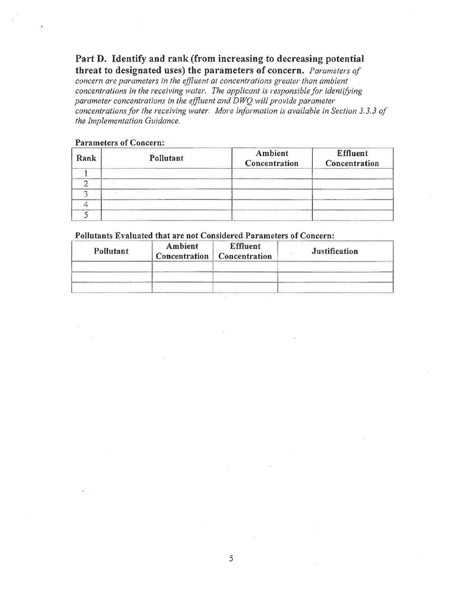# Part D. Identify and rank (from increasing to decreasing potential threat to designated uses) the parameters of concern. Parameters of

concern are parameters in the effluent at concentrations greater than ambient concentrations in the receiving water. The applicant is responsible for identifying parameter concentrations in the effluent and DWQ will provide parameter concentrations for the receiving water. More information is available in Section 3.3.3 of the Implementation Guidance.

#### **Parameters of Concern:**

| Rank | Pollutant | Ambient<br>Concentration | <b>Effluent</b><br>Concentration |
|------|-----------|--------------------------|----------------------------------|
|      |           |                          |                                  |
|      |           |                          |                                  |
|      |           |                          |                                  |
|      |           |                          |                                  |
|      |           |                          |                                  |

### Pollutants Evaluated that are not Considered Parameters of Concern:

| Pollutant | Ambient<br>Concentration | <b>Effluent</b><br>Concentration | Justification |
|-----------|--------------------------|----------------------------------|---------------|
|           |                          |                                  |               |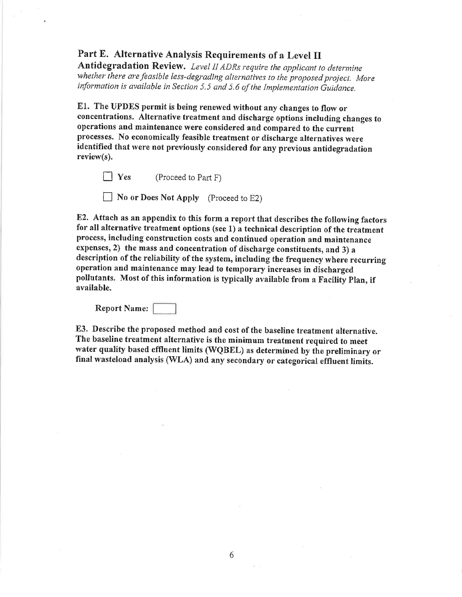# Part E. Alternative Analysis Requirements of a Level II

Antidegradation Review. Level II ADRs require the applicant to determine whether there are feasible less-degrading alternatives to the proposed project. More information is available in Section 5.5 and 5.6 of the Implementation Guidance.

E1. The UPDES permit is being renewed without any changes to flow or concentrations. Alternative treatment and discharge options including changes to operations and maintenance were considered and compared to the current processes. No economically feasible treatment or discharge alternatives were identified that were not previously considered for any previous antidegradation  $review(s)$ .

 $\vert$  Yes (Proceed to Part F)

No or Does Not Apply (Proceed to E2)

E2. Attach as an appendix to this form a report that describes the following factors for all alternative treatment options (see 1) a technical description of the treatment process, including construction costs and continued operation and maintenance expenses, 2) the mass and concentration of discharge constituents, and 3) a description of the reliability of the system, including the frequency where recurring operation and maintenance may lead to temporary increases in discharged pollutants. Most of this information is typically available from a Facility Plan, if available.

Report Name:

E3. Describe the proposed method and cost of the baseline treatment alternative. The baseline treatment alternative is the minimum treatment required to meet water quality based effluent limits (WQBEL) as determined by the preliminary or final wasteload analysis (WLA) and any secondary or categorical effluent limits.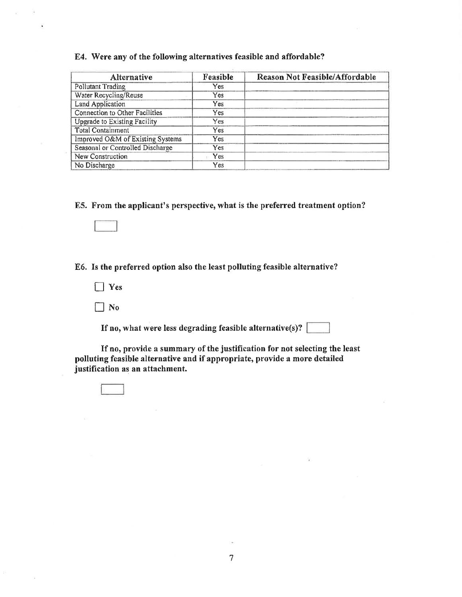#### E4. Were any of the following alternatives feasible and affordable?

| Alternative                      | Feasible | <b>Reason Not Feasible/Affordable</b> |
|----------------------------------|----------|---------------------------------------|
| <b>Pollutant Trading</b>         | Yes      |                                       |
| Water Recycling/Reuse            | Yes      |                                       |
| Land Application                 | Yes      |                                       |
| Connection to Other Facilities   | Yes      |                                       |
| Upgrade to Existing Facility     | Yes      |                                       |
| <b>Total Containment</b>         | Yes      |                                       |
| Improved O&M of Existing Systems | Yes.     |                                       |
| Seasonal or Controlled Discharge | Yes      |                                       |
| New Construction                 | Yes      |                                       |
| No Discharge                     | Yes      |                                       |

E5. From the applicant's perspective, what is the preferred treatment option?

E6. Is the preferred option also the least polluting feasible alternative?

- $\Box$  Yes
- $\Box$  No

If no, what were less degrading feasible alternative(s)?  $\lceil$ 

If no, provide a summary of the justification for not selecting the least polluting feasible alternative and if appropriate, provide a more detailed justification as an attachment.

 $\overline{7}$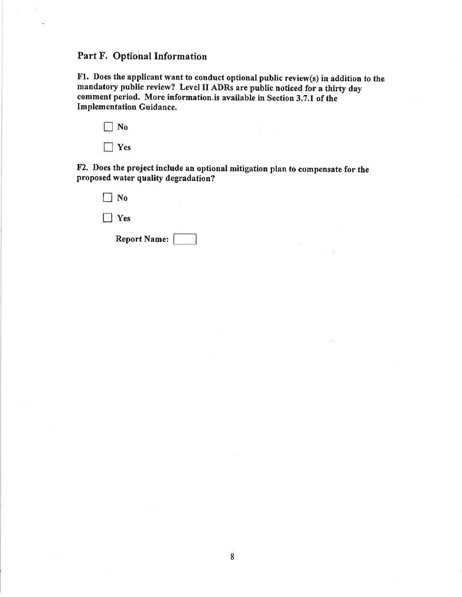# Part F. Optional Information

Fl. Does the applicant want to conduct optional public review(s) in addition to the mandatory public review? Level II ADRs are public noticed for a thirty day comment period. More information is available in Section 3.7.1 of the Implementation Guidance,

| ٧о  |
|-----|
| 'es |

F2. Does the project include an optional mitigation plan to compensate for the proposed water quality degradation?

| Report Name:  |  |
|---------------|--|
| $\vert$   Yes |  |
| No            |  |